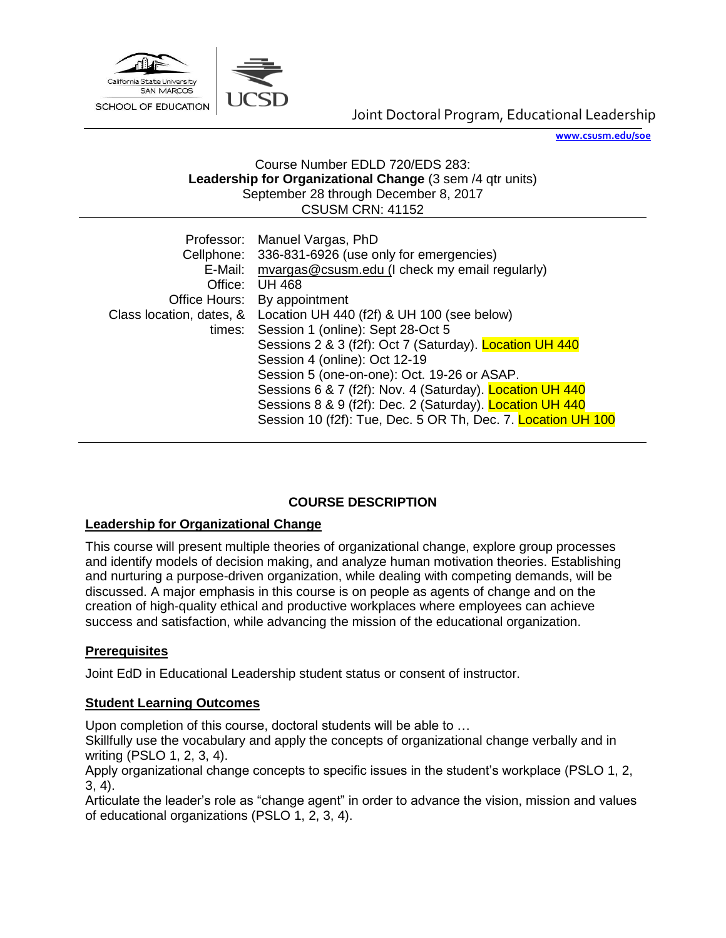

**[www.csusm.edu/soe](http://www.csusm.edu/soe)**

#### Course Number EDLD 720/EDS 283: **Leadership for Organizational Change** (3 sem /4 qtr units) September 28 through December 8, 2017 CSUSM CRN: 41152

|         | Professor: Manuel Vargas, PhD<br>Cellphone: 336-831-6926 (use only for emergencies) |
|---------|-------------------------------------------------------------------------------------|
| E-Mail: | mvargas@csusm.edu (I check my email regularly)                                      |
| Office: | <b>UH 468</b>                                                                       |
|         | Office Hours: By appointment                                                        |
|         | Class location, dates, & Location UH 440 (f2f) & UH 100 (see below)                 |
| times:  | Session 1 (online): Sept 28-Oct 5                                                   |
|         | Sessions 2 & 3 (f2f): Oct 7 (Saturday). Location UH 440                             |
|         | Session 4 (online): Oct 12-19                                                       |
|         | Session 5 (one-on-one): Oct. 19-26 or ASAP.                                         |
|         | Sessions 6 & 7 (f2f): Nov. 4 (Saturday). Location UH 440                            |
|         | Sessions 8 & 9 (f2f): Dec. 2 (Saturday). Location UH 440                            |
|         | Session 10 (f2f): Tue, Dec. 5 OR Th, Dec. 7. Location UH 100                        |

# **COURSE DESCRIPTION**

# **Leadership for Organizational Change**

This course will present multiple theories of organizational change, explore group processes and identify models of decision making, and analyze human motivation theories. Establishing and nurturing a purpose-driven organization, while dealing with competing demands, will be discussed. A major emphasis in this course is on people as agents of change and on the creation of high-quality ethical and productive workplaces where employees can achieve success and satisfaction, while advancing the mission of the educational organization.

# **Prerequisites**

Joint EdD in Educational Leadership student status or consent of instructor.

### **Student Learning Outcomes**

Upon completion of this course, doctoral students will be able to …

Skillfully use the vocabulary and apply the concepts of organizational change verbally and in writing (PSLO 1, 2, 3, 4).

Apply organizational change concepts to specific issues in the student's workplace (PSLO 1, 2, 3, 4).

Articulate the leader's role as "change agent" in order to advance the vision, mission and values of educational organizations (PSLO 1, 2, 3, 4).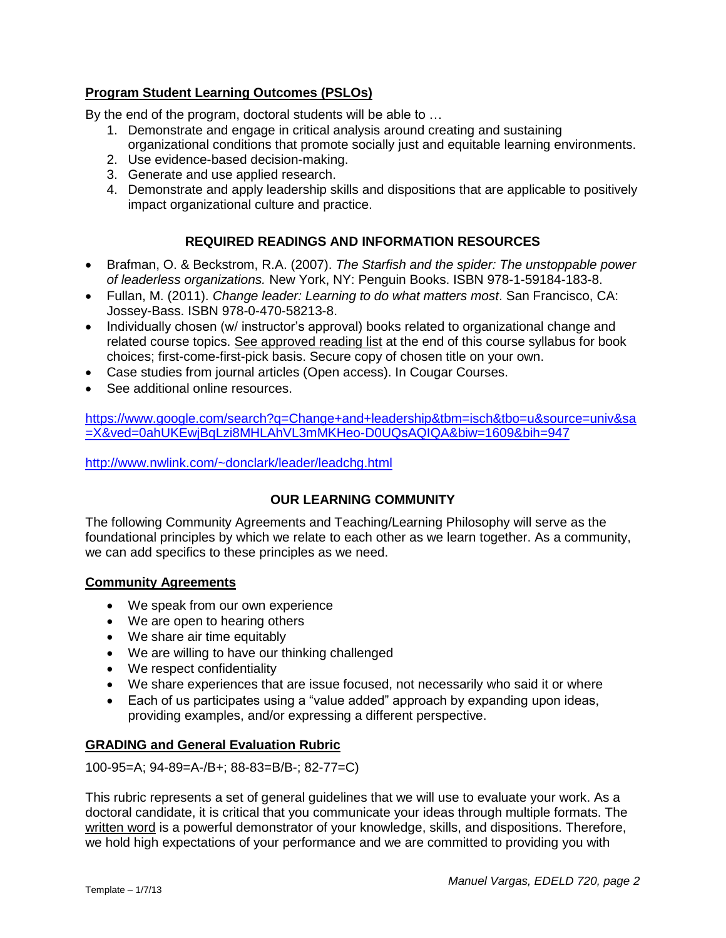# **Program Student Learning Outcomes (PSLOs)**

By the end of the program, doctoral students will be able to …

- 1. Demonstrate and engage in critical analysis around creating and sustaining organizational conditions that promote socially just and equitable learning environments.
- 2. Use evidence-based decision-making.
- 3. Generate and use applied research.
- 4. Demonstrate and apply leadership skills and dispositions that are applicable to positively impact organizational culture and practice.

# **REQUIRED READINGS AND INFORMATION RESOURCES**

- Brafman, O. & Beckstrom, R.A. (2007). *The Starfish and the spider: The unstoppable power of leaderless organizations.* New York, NY: Penguin Books. ISBN 978-1-59184-183-8.
- Fullan, M. (2011). *Change leader: Learning to do what matters most*. San Francisco, CA: Jossey-Bass. ISBN 978-0-470-58213-8.
- Individually chosen (w/ instructor's approval) books related to organizational change and related course topics. See approved reading list at the end of this course syllabus for book choices; first-come-first-pick basis. Secure copy of chosen title on your own.
- Case studies from journal articles (Open access). In Cougar Courses.
- See additional online resources.

[https://www.google.com/search?q=Change+and+leadership&tbm=isch&tbo=u&source=univ&sa](https://www.google.com/search?q=Change+and+leadership&tbm=isch&tbo=u&source=univ&sa=X&ved=0ahUKEwjBqLzi8MHLAhVL3mMKHeo-D0UQsAQIQA&biw=1609&bih=947) [=X&ved=0ahUKEwjBqLzi8MHLAhVL3mMKHeo-D0UQsAQIQA&biw=1609&bih=947](https://www.google.com/search?q=Change+and+leadership&tbm=isch&tbo=u&source=univ&sa=X&ved=0ahUKEwjBqLzi8MHLAhVL3mMKHeo-D0UQsAQIQA&biw=1609&bih=947)

<http://www.nwlink.com/~donclark/leader/leadchg.html>

# **OUR LEARNING COMMUNITY**

The following Community Agreements and Teaching/Learning Philosophy will serve as the foundational principles by which we relate to each other as we learn together. As a community, we can add specifics to these principles as we need.

### **Community Agreements**

- We speak from our own experience
- We are open to hearing others
- We share air time equitably
- We are willing to have our thinking challenged
- We respect confidentiality
- We share experiences that are issue focused, not necessarily who said it or where
- Each of us participates using a "value added" approach by expanding upon ideas, providing examples, and/or expressing a different perspective.

# **GRADING and General Evaluation Rubric**

100-95=A; 94-89=A-/B+; 88-83=B/B-; 82-77=C)

This rubric represents a set of general guidelines that we will use to evaluate your work. As a doctoral candidate, it is critical that you communicate your ideas through multiple formats. The written word is a powerful demonstrator of your knowledge, skills, and dispositions. Therefore, we hold high expectations of your performance and we are committed to providing you with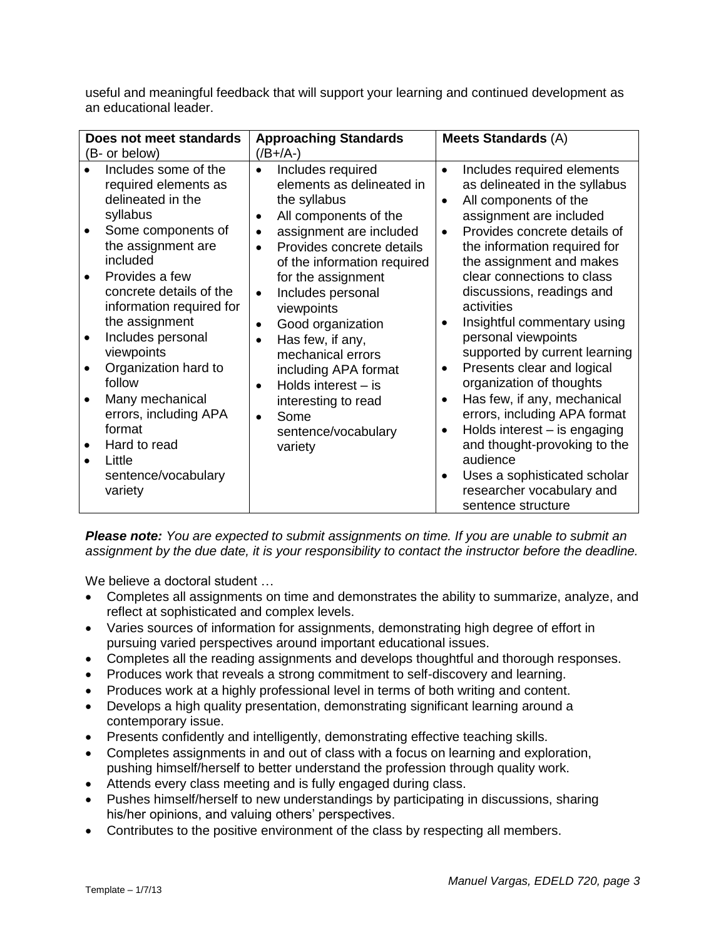useful and meaningful feedback that will support your learning and continued development as an educational leader.

| Does not meet standards                                                                             | <b>Approaching Standards</b>                                                                                                                              | <b>Meets Standards (A)</b>                                                                                                                                                             |
|-----------------------------------------------------------------------------------------------------|-----------------------------------------------------------------------------------------------------------------------------------------------------------|----------------------------------------------------------------------------------------------------------------------------------------------------------------------------------------|
| (B- or below)                                                                                       | $($ /B+/A- $)$                                                                                                                                            |                                                                                                                                                                                        |
| Includes some of the<br>required elements as<br>delineated in the<br>syllabus<br>Some components of | Includes required<br>$\bullet$<br>elements as delineated in<br>the syllabus<br>All components of the<br>$\bullet$<br>assignment are included<br>$\bullet$ | Includes required elements<br>$\bullet$<br>as delineated in the syllabus<br>All components of the<br>$\bullet$<br>assignment are included<br>Provides concrete details of<br>$\bullet$ |
| the assignment are<br>included<br>Provides a few                                                    | Provides concrete details<br>$\bullet$<br>of the information required<br>for the assignment                                                               | the information required for<br>the assignment and makes<br>clear connections to class                                                                                                 |
| concrete details of the<br>information required for<br>the assignment                               | Includes personal<br>$\bullet$<br>viewpoints                                                                                                              | discussions, readings and<br>activities                                                                                                                                                |
| Includes personal<br>$\bullet$<br>viewpoints                                                        | Good organization<br>$\bullet$<br>Has few, if any,<br>$\bullet$<br>mechanical errors                                                                      | Insightful commentary using<br>personal viewpoints<br>supported by current learning                                                                                                    |
| Organization hard to<br>follow                                                                      | including APA format<br>Holds interest $-$ is<br>$\bullet$                                                                                                | Presents clear and logical<br>organization of thoughts                                                                                                                                 |
| Many mechanical<br>errors, including APA<br>format                                                  | interesting to read<br>Some<br>$\bullet$<br>sentence/vocabulary                                                                                           | Has few, if any, mechanical<br>$\bullet$<br>errors, including APA format<br>Holds interest - is engaging                                                                               |
| Hard to read<br>Little<br>sentence/vocabulary<br>variety                                            | variety                                                                                                                                                   | and thought-provoking to the<br>audience<br>Uses a sophisticated scholar<br>$\bullet$<br>researcher vocabulary and                                                                     |
|                                                                                                     |                                                                                                                                                           | sentence structure                                                                                                                                                                     |

*Please note: You are expected to submit assignments on time. If you are unable to submit an assignment by the due date, it is your responsibility to contact the instructor before the deadline.*

We believe a doctoral student ...

- Completes all assignments on time and demonstrates the ability to summarize, analyze, and reflect at sophisticated and complex levels.
- Varies sources of information for assignments, demonstrating high degree of effort in pursuing varied perspectives around important educational issues.
- Completes all the reading assignments and develops thoughtful and thorough responses.
- Produces work that reveals a strong commitment to self-discovery and learning.
- Produces work at a highly professional level in terms of both writing and content.
- Develops a high quality presentation, demonstrating significant learning around a contemporary issue.
- Presents confidently and intelligently, demonstrating effective teaching skills.
- Completes assignments in and out of class with a focus on learning and exploration, pushing himself/herself to better understand the profession through quality work.
- Attends every class meeting and is fully engaged during class.
- Pushes himself/herself to new understandings by participating in discussions, sharing his/her opinions, and valuing others' perspectives.
- Contributes to the positive environment of the class by respecting all members.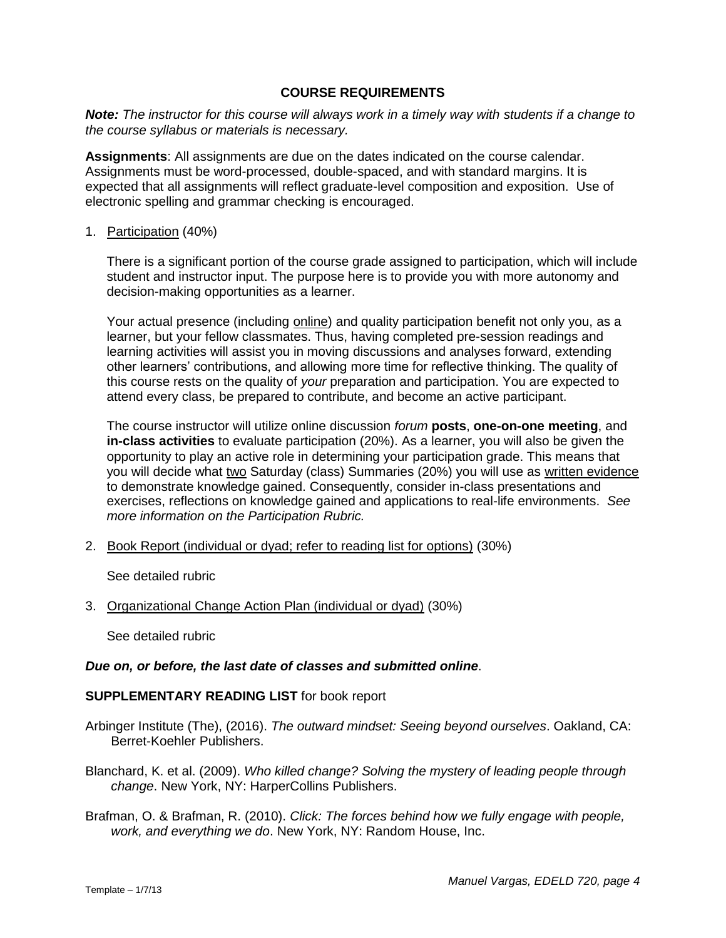#### **COURSE REQUIREMENTS**

*Note: The instructor for this course will always work in a timely way with students if a change to the course syllabus or materials is necessary.* 

**Assignments**: All assignments are due on the dates indicated on the course calendar. Assignments must be word-processed, double-spaced, and with standard margins. It is expected that all assignments will reflect graduate-level composition and exposition. Use of electronic spelling and grammar checking is encouraged.

#### 1. Participation (40%)

There is a significant portion of the course grade assigned to participation, which will include student and instructor input. The purpose here is to provide you with more autonomy and decision-making opportunities as a learner.

Your actual presence (including online) and quality participation benefit not only you, as a learner, but your fellow classmates. Thus, having completed pre-session readings and learning activities will assist you in moving discussions and analyses forward, extending other learners' contributions, and allowing more time for reflective thinking. The quality of this course rests on the quality of *your* preparation and participation. You are expected to attend every class, be prepared to contribute, and become an active participant.

The course instructor will utilize online discussion *forum* **posts**, **one-on-one meeting**, and **in-class activities** to evaluate participation (20%). As a learner, you will also be given the opportunity to play an active role in determining your participation grade. This means that you will decide what two Saturday (class) Summaries (20%) you will use as written evidence to demonstrate knowledge gained. Consequently, consider in-class presentations and exercises, reflections on knowledge gained and applications to real-life environments. *See more information on the Participation Rubric.*

2. Book Report (individual or dyad; refer to reading list for options) (30%)

See detailed rubric

3. Organizational Change Action Plan (individual or dyad) (30%)

See detailed rubric

#### *Due on, or before, the last date of classes and submitted online*.

#### **SUPPLEMENTARY READING LIST** for book report

- Arbinger Institute (The), (2016). *The outward mindset: Seeing beyond ourselves*. Oakland, CA: Berret-Koehler Publishers.
- Blanchard, K. et al. (2009). *Who killed change? Solving the mystery of leading people through change*. New York, NY: HarperCollins Publishers.
- Brafman, O. & Brafman, R. (2010). *Click: The forces behind how we fully engage with people, work, and everything we do*. New York, NY: Random House, Inc.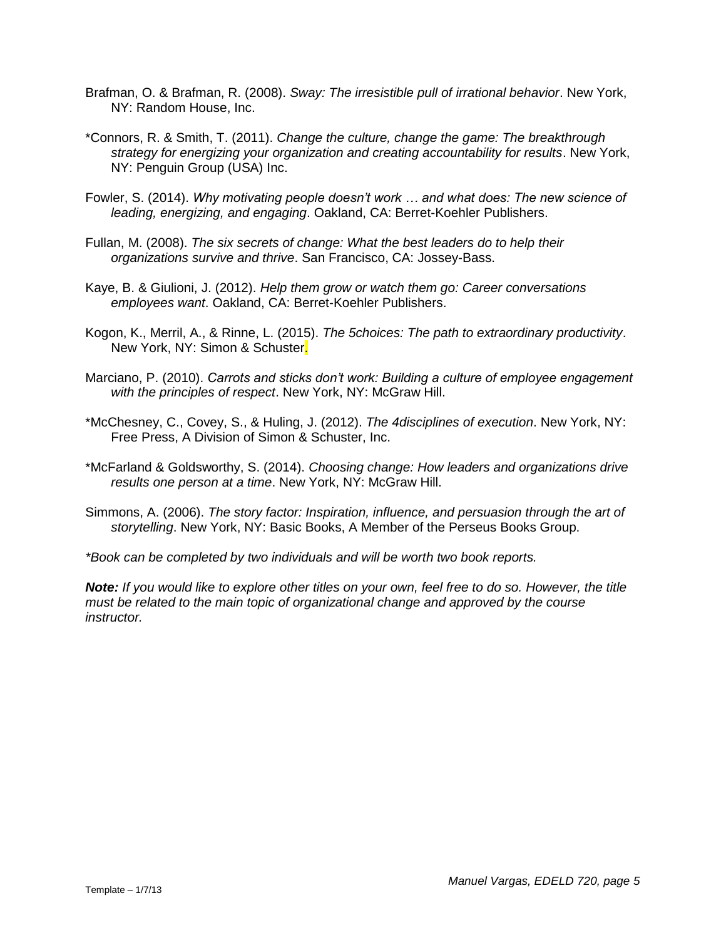- Brafman, O. & Brafman, R. (2008). *Sway: The irresistible pull of irrational behavior*. New York, NY: Random House, Inc.
- \*Connors, R. & Smith, T. (2011). *Change the culture, change the game: The breakthrough strategy for energizing your organization and creating accountability for results*. New York, NY: Penguin Group (USA) Inc.
- Fowler, S. (2014). *Why motivating people doesn't work … and what does: The new science of leading, energizing, and engaging*. Oakland, CA: Berret-Koehler Publishers.
- Fullan, M. (2008). *The six secrets of change: What the best leaders do to help their organizations survive and thrive*. San Francisco, CA: Jossey-Bass.
- Kaye, B. & Giulioni, J. (2012). *Help them grow or watch them go: Career conversations employees want*. Oakland, CA: Berret-Koehler Publishers.
- Kogon, K., Merril, A., & Rinne, L. (2015). *The 5choices: The path to extraordinary productivity*. New York, NY: Simon & Schuster.
- Marciano, P. (2010). *Carrots and sticks don't work: Building a culture of employee engagement with the principles of respect*. New York, NY: McGraw Hill.
- \*McChesney, C., Covey, S., & Huling, J. (2012). *The 4disciplines of execution*. New York, NY: Free Press, A Division of Simon & Schuster, Inc.
- \*McFarland & Goldsworthy, S. (2014). *Choosing change: How leaders and organizations drive results one person at a time*. New York, NY: McGraw Hill.
- Simmons, A. (2006). *The story factor: Inspiration, influence, and persuasion through the art of storytelling*. New York, NY: Basic Books, A Member of the Perseus Books Group.

*\*Book can be completed by two individuals and will be worth two book reports.*

*Note: If you would like to explore other titles on your own, feel free to do so. However, the title must be related to the main topic of organizational change and approved by the course instructor.*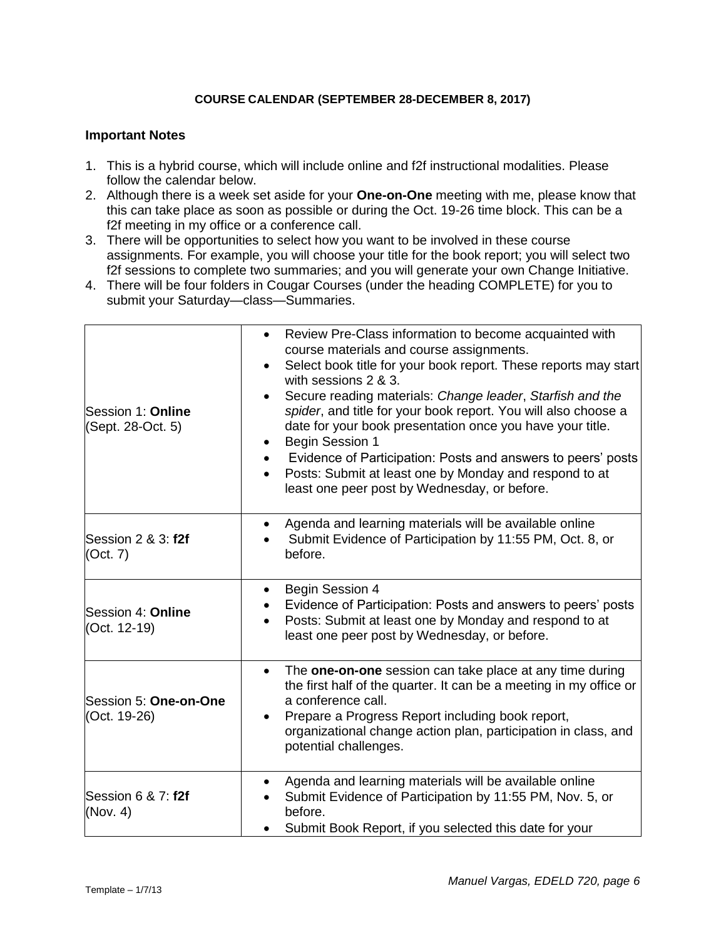#### **COURSE CALENDAR (SEPTEMBER 28-DECEMBER 8, 2017)**

#### **Important Notes**

- 1. This is a hybrid course, which will include online and f2f instructional modalities. Please follow the calendar below.
- 2. Although there is a week set aside for your **One-on-One** meeting with me, please know that this can take place as soon as possible or during the Oct. 19-26 time block. This can be a f2f meeting in my office or a conference call.
- 3. There will be opportunities to select how you want to be involved in these course assignments. For example, you will choose your title for the book report; you will select two f2f sessions to complete two summaries; and you will generate your own Change Initiative.
- 4. There will be four folders in Cougar Courses (under the heading COMPLETE) for you to submit your Saturday—class—Summaries.

| Session 1: Online<br>(Sept. 28-Oct. 5) | Review Pre-Class information to become acquainted with<br>$\bullet$<br>course materials and course assignments.<br>Select book title for your book report. These reports may start<br>$\bullet$<br>with sessions 2 & 3.<br>Secure reading materials: Change leader, Starfish and the<br>$\bullet$<br>spider, and title for your book report. You will also choose a<br>date for your book presentation once you have your title.<br>Begin Session 1<br>$\bullet$<br>Evidence of Participation: Posts and answers to peers' posts<br>$\bullet$<br>Posts: Submit at least one by Monday and respond to at<br>$\bullet$<br>least one peer post by Wednesday, or before. |
|----------------------------------------|----------------------------------------------------------------------------------------------------------------------------------------------------------------------------------------------------------------------------------------------------------------------------------------------------------------------------------------------------------------------------------------------------------------------------------------------------------------------------------------------------------------------------------------------------------------------------------------------------------------------------------------------------------------------|
| Session 2 & 3: <b>f2f</b><br>(Oct. 7)  | Agenda and learning materials will be available online<br>$\bullet$<br>Submit Evidence of Participation by 11:55 PM, Oct. 8, or<br>before.                                                                                                                                                                                                                                                                                                                                                                                                                                                                                                                           |
| Session 4: Online<br>(Oct. 12-19)      | Begin Session 4<br>$\bullet$<br>Evidence of Participation: Posts and answers to peers' posts<br>Posts: Submit at least one by Monday and respond to at<br>$\bullet$<br>least one peer post by Wednesday, or before.                                                                                                                                                                                                                                                                                                                                                                                                                                                  |
| Session 5: One-on-One<br>(Oct. 19-26)  | The one-on-one session can take place at any time during<br>$\bullet$<br>the first half of the quarter. It can be a meeting in my office or<br>a conference call.<br>Prepare a Progress Report including book report,<br>$\bullet$<br>organizational change action plan, participation in class, and<br>potential challenges.                                                                                                                                                                                                                                                                                                                                        |
| Session 6 & 7: f2f<br>(Nov. 4)         | Agenda and learning materials will be available online<br>Submit Evidence of Participation by 11:55 PM, Nov. 5, or<br>before.<br>Submit Book Report, if you selected this date for your                                                                                                                                                                                                                                                                                                                                                                                                                                                                              |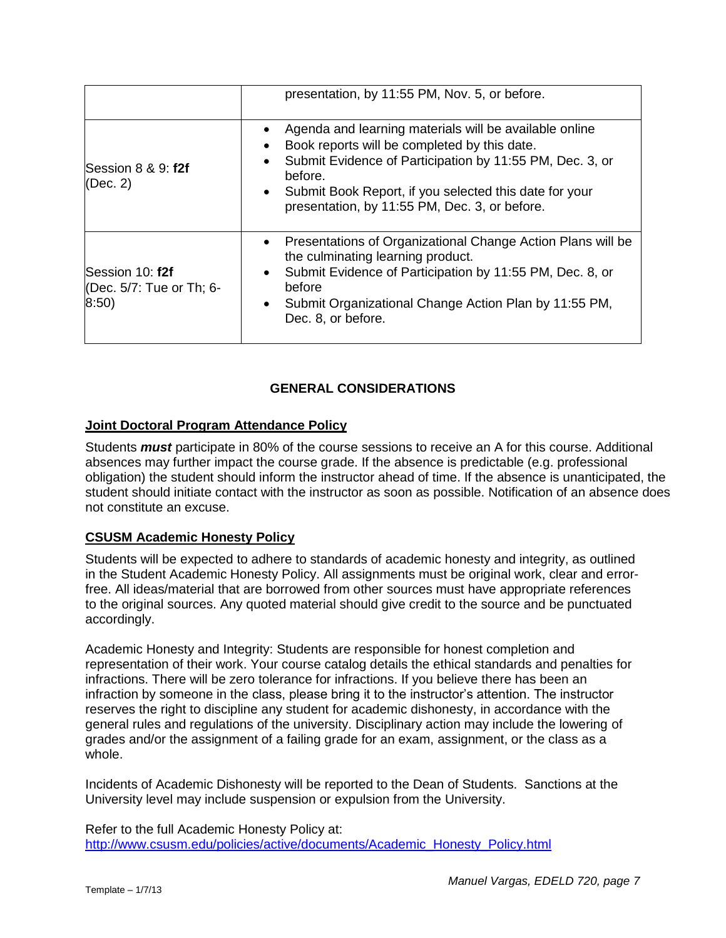|                                                      | presentation, by 11:55 PM, Nov. 5, or before.                                                                                                                                                                                                                                                                                        |
|------------------------------------------------------|--------------------------------------------------------------------------------------------------------------------------------------------------------------------------------------------------------------------------------------------------------------------------------------------------------------------------------------|
| Session 8 & 9: f2f<br>(Dec. 2)                       | Agenda and learning materials will be available online<br>٠<br>Book reports will be completed by this date.<br>$\bullet$<br>Submit Evidence of Participation by 11:55 PM, Dec. 3, or<br>$\bullet$<br>before.<br>Submit Book Report, if you selected this date for your<br>$\bullet$<br>presentation, by 11:55 PM, Dec. 3, or before. |
| Session 10: f2f<br>(Dec. 5/7: Tue or Th; 6-<br>8:50) | Presentations of Organizational Change Action Plans will be<br>$\bullet$<br>the culminating learning product.<br>Submit Evidence of Participation by 11:55 PM, Dec. 8, or<br>$\bullet$<br>before<br>Submit Organizational Change Action Plan by 11:55 PM,<br>$\bullet$<br>Dec. 8, or before.                                         |

# **GENERAL CONSIDERATIONS**

### **Joint Doctoral Program Attendance Policy**

Students *must* participate in 80% of the course sessions to receive an A for this course. Additional absences may further impact the course grade. If the absence is predictable (e.g. professional obligation) the student should inform the instructor ahead of time. If the absence is unanticipated, the student should initiate contact with the instructor as soon as possible. Notification of an absence does not constitute an excuse.

### **CSUSM Academic Honesty Policy**

Students will be expected to adhere to standards of academic honesty and integrity, as outlined in the Student Academic Honesty Policy. All assignments must be original work, clear and errorfree. All ideas/material that are borrowed from other sources must have appropriate references to the original sources. Any quoted material should give credit to the source and be punctuated accordingly.

Academic Honesty and Integrity: Students are responsible for honest completion and representation of their work. Your course catalog details the ethical standards and penalties for infractions. There will be zero tolerance for infractions. If you believe there has been an infraction by someone in the class, please bring it to the instructor's attention. The instructor reserves the right to discipline any student for academic dishonesty, in accordance with the general rules and regulations of the university. Disciplinary action may include the lowering of grades and/or the assignment of a failing grade for an exam, assignment, or the class as a whole.

Incidents of Academic Dishonesty will be reported to the Dean of Students. Sanctions at the University level may include suspension or expulsion from the University.

Refer to the full Academic Honesty Policy at: [http://www.csusm.edu/policies/active/documents/Academic\\_Honesty\\_Policy.html](http://www.csusm.edu/policies/active/documents/Academic_Honesty_Policy.html)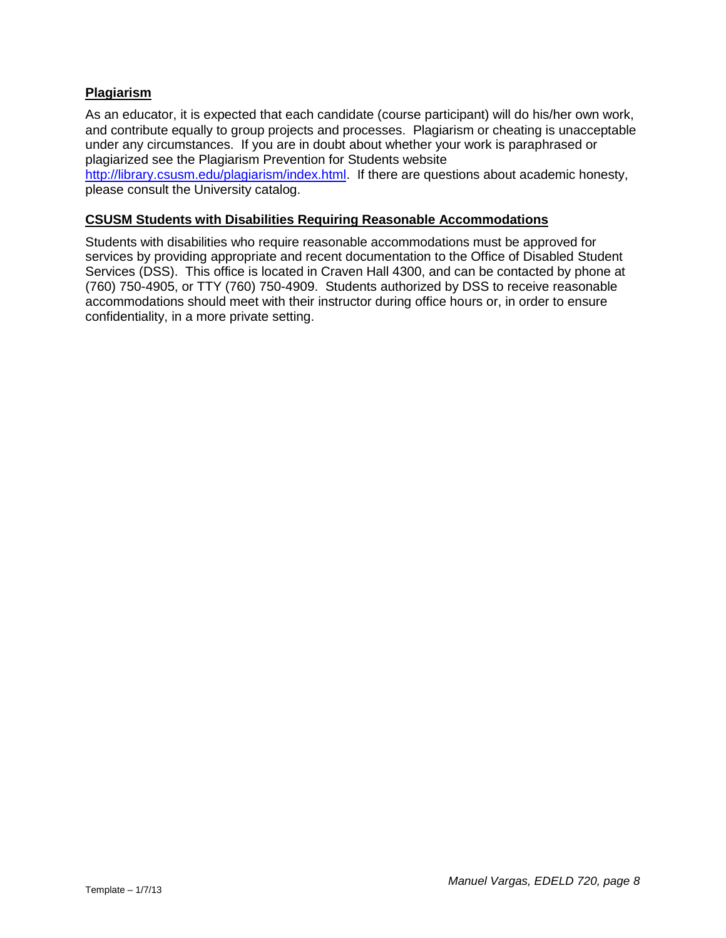### **Plagiarism**

As an educator, it is expected that each candidate (course participant) will do his/her own work, and contribute equally to group projects and processes. Plagiarism or cheating is unacceptable under any circumstances. If you are in doubt about whether your work is paraphrased or plagiarized see the Plagiarism Prevention for Students website

[http://library.csusm.edu/plagiarism/index.html.](http://library.csusm.edu/plagiarism/index.html) If there are questions about academic honesty, please consult the University catalog.

### **CSUSM Students with Disabilities Requiring Reasonable Accommodations**

Students with disabilities who require reasonable accommodations must be approved for services by providing appropriate and recent documentation to the Office of Disabled Student Services (DSS). This office is located in Craven Hall 4300, and can be contacted by phone at (760) 750-4905, or TTY (760) 750-4909. Students authorized by DSS to receive reasonable accommodations should meet with their instructor during office hours or, in order to ensure confidentiality, in a more private setting.